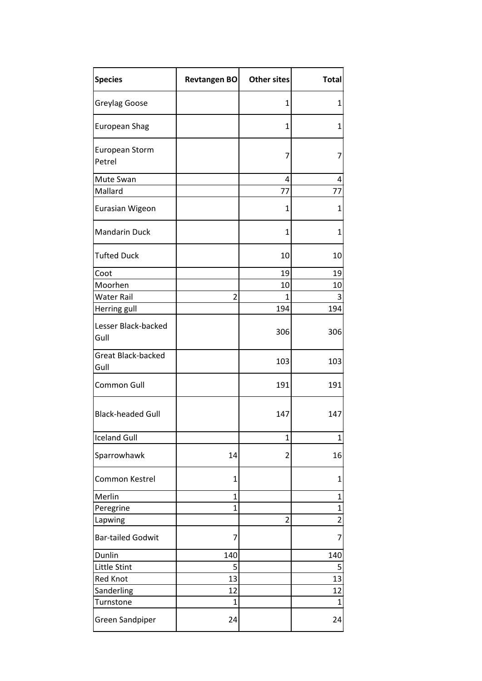| <b>Species</b>                    | Revtangen BO   | <b>Other sites</b> | <b>Total</b>   |
|-----------------------------------|----------------|--------------------|----------------|
| Greylag Goose                     |                | $\mathbf{1}$       | 1              |
| <b>European Shag</b>              |                | 1                  | 1              |
| European Storm<br>Petrel          |                | 7                  | 7              |
| Mute Swan                         |                | 4                  | 4              |
| Mallard                           |                | 77                 | 77             |
| Eurasian Wigeon                   |                | 1                  | 1              |
| <b>Mandarin Duck</b>              |                | 1                  | 1              |
| <b>Tufted Duck</b>                |                | 10                 | 10             |
| Coot                              |                | 19                 | 19             |
| Moorhen                           |                | 10                 | 10             |
| <b>Water Rail</b>                 | $\overline{2}$ | 1                  | 3              |
| Herring gull                      |                | 194                | 194            |
| Lesser Black-backed<br>Gull       |                | 306                | 306            |
| <b>Great Black-backed</b><br>Gull |                | 103                | 103            |
| Common Gull                       |                | 191                | 191            |
| <b>Black-headed Gull</b>          |                | 147                | 147            |
| <b>Iceland Gull</b>               |                | 1                  | $\mathbf{1}$   |
| Sparrowhawk                       | 14             | 2                  | 16             |
| Common Kestrel                    | 1              |                    | 1              |
| Merlin                            | $\mathbf 1$    |                    | 1              |
| Peregrine                         | $\mathbf{1}$   |                    | $\mathbf 1$    |
| Lapwing                           |                | $\overline{2}$     | $\overline{2}$ |
| <b>Bar-tailed Godwit</b>          | 7              |                    | 7              |
| Dunlin                            | 140            |                    | 140            |
| Little Stint                      | 5              |                    | 5              |
| <b>Red Knot</b>                   | 13             |                    | 13             |
| Sanderling                        | 12             |                    | 12             |
| Turnstone                         | 1              |                    | 1              |
| <b>Green Sandpiper</b>            | 24             |                    | 24             |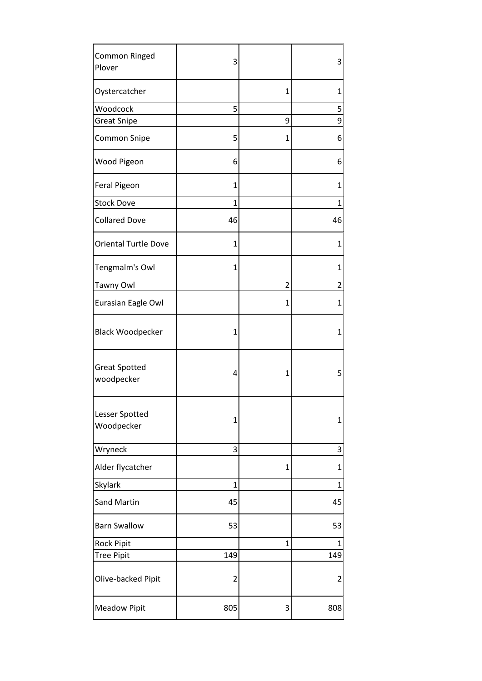| <b>Common Ringed</b><br>Plover      | 3            |                | 3              |
|-------------------------------------|--------------|----------------|----------------|
| Oystercatcher                       |              | $\mathbf{1}$   | 1              |
| Woodcock                            | 5            |                | 5              |
| <b>Great Snipe</b>                  |              | 9              | 9              |
| <b>Common Snipe</b>                 | 5            | 1              | 6              |
| Wood Pigeon                         | 6            |                | 6              |
| <b>Feral Pigeon</b>                 | 1            |                | 1              |
| <b>Stock Dove</b>                   | $\mathbf{1}$ |                | $\mathbf{1}$   |
| <b>Collared Dove</b>                | 46           |                | 46             |
| <b>Oriental Turtle Dove</b>         | 1            |                | 1              |
| Tengmalm's Owl                      | 1            |                | 1              |
| <b>Tawny Owl</b>                    |              | 2              | 2              |
| Eurasian Eagle Owl                  |              | 1              | 1              |
| <b>Black Woodpecker</b>             | 1            |                | 1              |
| <b>Great Spotted</b><br>woodpecker  | 4            | 1              | 5              |
| <b>Lesser Spotted</b><br>Woodpecker | 1            |                | 1              |
| Wryneck                             | 3            |                | 3              |
| Alder flycatcher                    |              | $\overline{1}$ | 1              |
| Skylark                             | 1            |                | $\overline{1}$ |
| <b>Sand Martin</b>                  | 45           |                | 45             |
| <b>Barn Swallow</b>                 | 53           |                | 53             |
| Rock Pipit                          |              | 1              | 1              |
| <b>Tree Pipit</b>                   | 149          |                | 149            |
| Olive-backed Pipit                  | 2            |                | 2              |
| <b>Meadow Pipit</b>                 | 805          | 3              | 808            |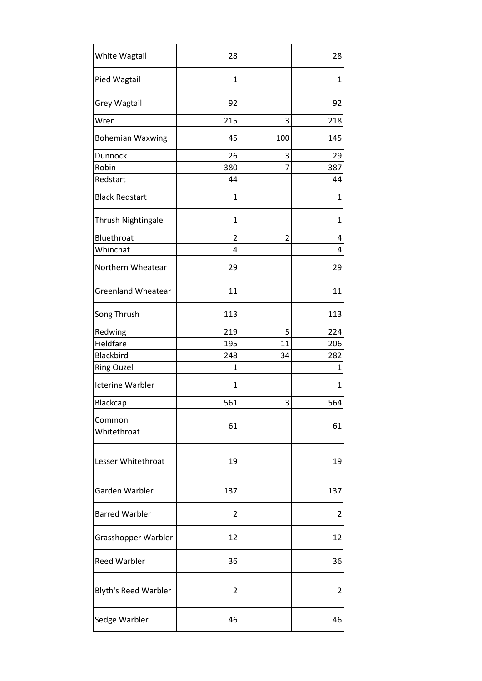| White Wagtail               | 28             |                | 28  |
|-----------------------------|----------------|----------------|-----|
| Pied Wagtail                | 1              |                | 1   |
| <b>Grey Wagtail</b>         | 92             |                | 92  |
| Wren                        | 215            | 3              | 218 |
| <b>Bohemian Waxwing</b>     | 45             | 100            | 145 |
| Dunnock                     | 26             | 3              | 29  |
| Robin                       | 380            | 7              | 387 |
| Redstart                    | 44             |                | 44  |
| <b>Black Redstart</b>       | 1              |                | 1   |
| Thrush Nightingale          | 1              |                | 1   |
| Bluethroat                  | $\overline{2}$ | $\overline{2}$ | 4   |
| Whinchat                    | 4              |                | 4   |
| Northern Wheatear           | 29             |                | 29  |
| <b>Greenland Wheatear</b>   | 11             |                | 11  |
| Song Thrush                 | 113            |                | 113 |
| Redwing                     | 219            | 5              | 224 |
| Fieldfare                   | 195            | 11             | 206 |
| Blackbird                   | 248            | 34             | 282 |
| <b>Ring Ouzel</b>           | 1              |                | 1   |
| <b>Icterine Warbler</b>     | 1              |                | 1   |
| Blackcap                    | 561            | 3              | 564 |
| Common<br>Whitethroat       | 61             |                | 61  |
| Lesser Whitethroat          | 19             |                | 19  |
| Garden Warbler              | 137            |                | 137 |
| <b>Barred Warbler</b>       | 2              |                | 2   |
| Grasshopper Warbler         | 12             |                | 12  |
| <b>Reed Warbler</b>         | 36             |                | 36  |
| <b>Blyth's Reed Warbler</b> | 2              |                | 2   |
| Sedge Warbler               | 46             |                | 46  |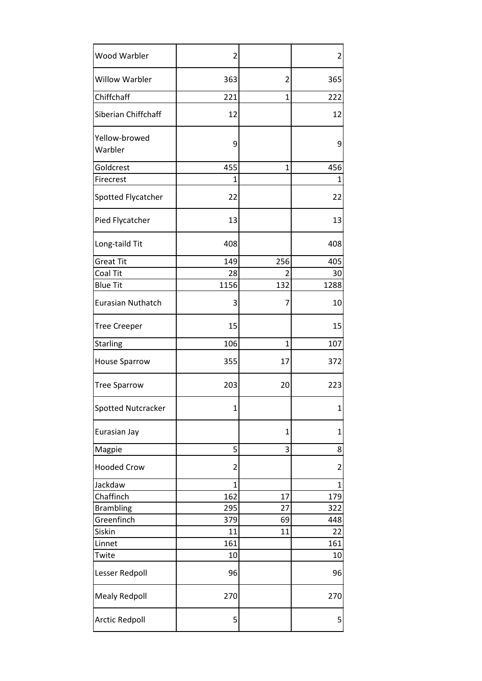| <b>Wood Warbler</b>      | $\overline{c}$ |              | 2                       |
|--------------------------|----------------|--------------|-------------------------|
| <b>Willow Warbler</b>    | 363            | 2            | 365                     |
| Chiffchaff               | 221            | $\mathbf{1}$ | 222                     |
| Siberian Chiffchaff      | 12             |              | 12                      |
| Yellow-browed<br>Warbler | 9              |              | 9                       |
| Goldcrest                | 455            | 1            | 456                     |
| Firecrest                | $\mathbf{1}$   |              | $\mathbf{1}$            |
| Spotted Flycatcher       | 22             |              | 22                      |
| Pied Flycatcher          | 13             |              | 13                      |
| Long-taild Tit           | 408            |              | 408                     |
| <b>Great Tit</b>         | 149            | 256          | 405                     |
| Coal Tit                 | 28             | 2            | 30                      |
| <b>Blue Tit</b>          | 1156           | 132          | 1288                    |
| <b>Eurasian Nuthatch</b> | 3              | 7            | 10                      |
| <b>Tree Creeper</b>      | 15             |              | 15                      |
| Starling                 | 106            | 1            | 107                     |
| <b>House Sparrow</b>     | 355            | 17           | 372                     |
| <b>Tree Sparrow</b>      | 203            | 20           | 223                     |
| Spotted Nutcracker       | $\mathbf 1$    |              | $1\vert$                |
| Eurasian Jay             |                | 1            | $\mathbf 1$             |
| Magpie                   | 5              | 3            | 8                       |
| <b>Hooded Crow</b>       | $\overline{c}$ |              | $\overline{\mathbf{c}}$ |
| Jackdaw                  | $\mathbf{1}$   |              | 1                       |
| Chaffinch                | 162            | 17           | 179                     |
| <b>Brambling</b>         | 295            | 27           | 322                     |
| Greenfinch               | 379            | 69           | 448                     |
| Siskin                   | 11             | 11           | 22                      |
| Linnet                   | 161            |              | 161                     |
| Twite                    | 10             |              | 10                      |
| Lesser Redpoll           | 96             |              | 96                      |
| <b>Mealy Redpoll</b>     | 270            |              | 270                     |
| <b>Arctic Redpoll</b>    | 5              |              | 5                       |